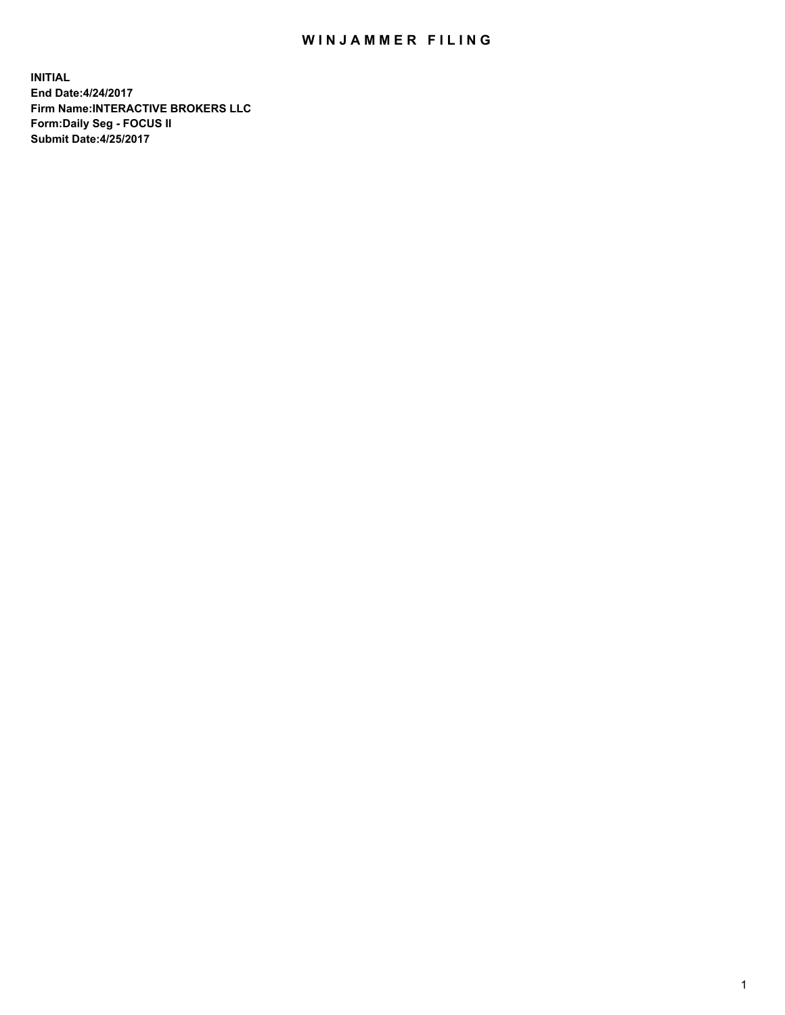## WIN JAMMER FILING

**INITIAL End Date:4/24/2017 Firm Name:INTERACTIVE BROKERS LLC Form:Daily Seg - FOCUS II Submit Date:4/25/2017**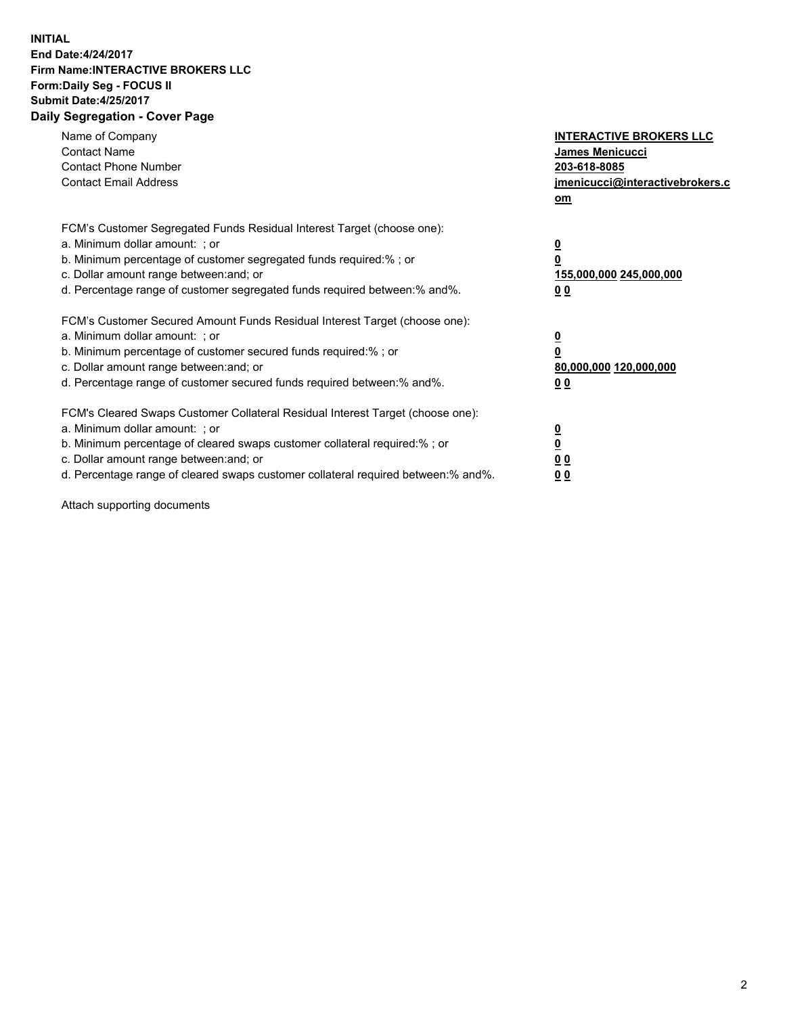## **INITIAL End Date:4/24/2017 Firm Name:INTERACTIVE BROKERS LLC Form:Daily Seg - FOCUS II Submit Date:4/25/2017 Daily Segregation - Cover Page**

| Name of Company<br><b>Contact Name</b><br><b>Contact Phone Number</b><br><b>Contact Email Address</b>                                                                                                                                                                                                                          | <b>INTERACTIVE BROKERS LLC</b><br><b>James Menicucci</b><br>203-618-8085<br>jmenicucci@interactivebrokers.c<br>om |
|--------------------------------------------------------------------------------------------------------------------------------------------------------------------------------------------------------------------------------------------------------------------------------------------------------------------------------|-------------------------------------------------------------------------------------------------------------------|
| FCM's Customer Segregated Funds Residual Interest Target (choose one):<br>a. Minimum dollar amount: ; or<br>b. Minimum percentage of customer segregated funds required:%; or<br>c. Dollar amount range between: and; or<br>d. Percentage range of customer segregated funds required between:% and%.                          | $\overline{\mathbf{0}}$<br>0<br>155,000,000 245,000,000<br>0 <sub>0</sub>                                         |
| FCM's Customer Secured Amount Funds Residual Interest Target (choose one):<br>a. Minimum dollar amount: ; or<br>b. Minimum percentage of customer secured funds required:%; or<br>c. Dollar amount range between: and; or<br>d. Percentage range of customer secured funds required between: % and %.                          | $\overline{\mathbf{0}}$<br>0<br>80,000,000 120,000,000<br>0 <sub>0</sub>                                          |
| FCM's Cleared Swaps Customer Collateral Residual Interest Target (choose one):<br>a. Minimum dollar amount: ; or<br>b. Minimum percentage of cleared swaps customer collateral required:% ; or<br>c. Dollar amount range between: and; or<br>d. Percentage range of cleared swaps customer collateral required between:% and%. | $\overline{\mathbf{0}}$<br>$\overline{\mathbf{0}}$<br>0 <sub>0</sub><br><u>00</u>                                 |

Attach supporting documents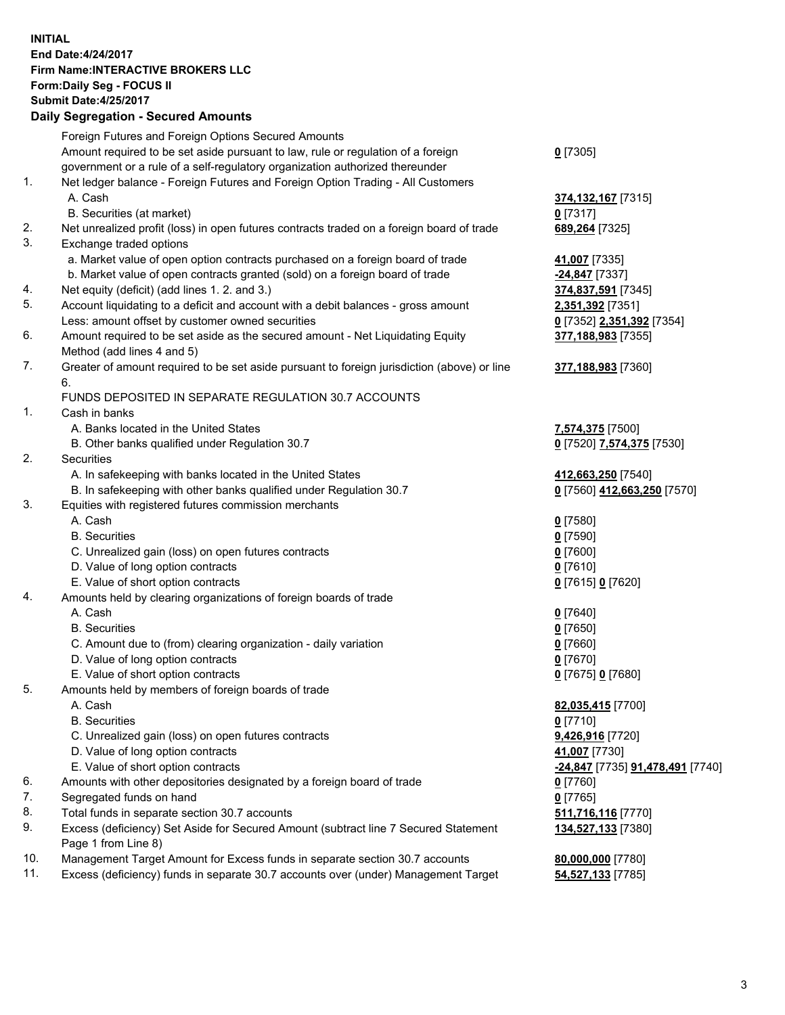## **INITIAL End Date:4/24/2017 Firm Name:INTERACTIVE BROKERS LLC Form:Daily Seg - FOCUS II Submit Date:4/25/2017 Daily Segregation - Secured Amounts**

|     | <b>Dany Ocgregation - Occarea Amounts</b>                                                   |                                  |
|-----|---------------------------------------------------------------------------------------------|----------------------------------|
|     | Foreign Futures and Foreign Options Secured Amounts                                         |                                  |
|     | Amount required to be set aside pursuant to law, rule or regulation of a foreign            | $0$ [7305]                       |
|     | government or a rule of a self-regulatory organization authorized thereunder                |                                  |
| 1.  | Net ledger balance - Foreign Futures and Foreign Option Trading - All Customers             |                                  |
|     | A. Cash                                                                                     | 374,132,167 [7315]               |
|     | B. Securities (at market)                                                                   | $0$ [7317]                       |
| 2.  |                                                                                             |                                  |
| 3.  | Net unrealized profit (loss) in open futures contracts traded on a foreign board of trade   | 689,264 [7325]                   |
|     | Exchange traded options                                                                     |                                  |
|     | a. Market value of open option contracts purchased on a foreign board of trade              | 41,007 [7335]                    |
|     | b. Market value of open contracts granted (sold) on a foreign board of trade                | $-24,847$ [7337]                 |
| 4.  | Net equity (deficit) (add lines 1.2. and 3.)                                                | 374,837,591 [7345]               |
| 5.  | Account liquidating to a deficit and account with a debit balances - gross amount           | 2,351,392 [7351]                 |
|     | Less: amount offset by customer owned securities                                            | 0 [7352] 2,351,392 [7354]        |
| 6.  | Amount required to be set aside as the secured amount - Net Liquidating Equity              | 377,188,983 [7355]               |
|     | Method (add lines 4 and 5)                                                                  |                                  |
| 7.  | Greater of amount required to be set aside pursuant to foreign jurisdiction (above) or line | 377,188,983 [7360]               |
|     | 6.                                                                                          |                                  |
|     | FUNDS DEPOSITED IN SEPARATE REGULATION 30.7 ACCOUNTS                                        |                                  |
| 1.  | Cash in banks                                                                               |                                  |
|     | A. Banks located in the United States                                                       | 7,574,375 [7500]                 |
|     | B. Other banks qualified under Regulation 30.7                                              | 0 [7520] 7,574,375 [7530]        |
| 2.  | Securities                                                                                  |                                  |
|     | A. In safekeeping with banks located in the United States                                   | 412,663,250 [7540]               |
|     | B. In safekeeping with other banks qualified under Regulation 30.7                          | 0 [7560] 412,663,250 [7570]      |
| 3.  | Equities with registered futures commission merchants                                       |                                  |
|     | A. Cash                                                                                     | $0$ [7580]                       |
|     | <b>B.</b> Securities                                                                        | $0$ [7590]                       |
|     | C. Unrealized gain (loss) on open futures contracts                                         | $0$ [7600]                       |
|     | D. Value of long option contracts                                                           | $0$ [7610]                       |
|     | E. Value of short option contracts                                                          | 0 [7615] 0 [7620]                |
| 4.  | Amounts held by clearing organizations of foreign boards of trade                           |                                  |
|     | A. Cash                                                                                     | $0$ [7640]                       |
|     | <b>B.</b> Securities                                                                        | $0$ [7650]                       |
|     | C. Amount due to (from) clearing organization - daily variation                             | $0$ [7660]                       |
|     | D. Value of long option contracts                                                           | $0$ [7670]                       |
|     | E. Value of short option contracts                                                          |                                  |
| 5.  |                                                                                             | 0 [7675] 0 [7680]                |
|     | Amounts held by members of foreign boards of trade<br>A. Cash                               |                                  |
|     |                                                                                             | 82,035,415 [7700]                |
|     | <b>B.</b> Securities                                                                        | $0$ [7710]                       |
|     | C. Unrealized gain (loss) on open futures contracts                                         | 9,426,916 [7720]                 |
|     | D. Value of long option contracts                                                           | 41,007 [7730]                    |
|     | E. Value of short option contracts                                                          | -24,847 [7735] 91,478,491 [7740] |
| 6.  | Amounts with other depositories designated by a foreign board of trade                      | 0 [7760]                         |
| 7.  | Segregated funds on hand                                                                    | $0$ [7765]                       |
| 8.  | Total funds in separate section 30.7 accounts                                               | 511,716,116 [7770]               |
| 9.  | Excess (deficiency) Set Aside for Secured Amount (subtract line 7 Secured Statement         | 134,527,133 [7380]               |
|     | Page 1 from Line 8)                                                                         |                                  |
| 10. | Management Target Amount for Excess funds in separate section 30.7 accounts                 | 80,000,000 [7780]                |
| 11. | Excess (deficiency) funds in separate 30.7 accounts over (under) Management Target          | 54,527,133 [7785]                |
|     |                                                                                             |                                  |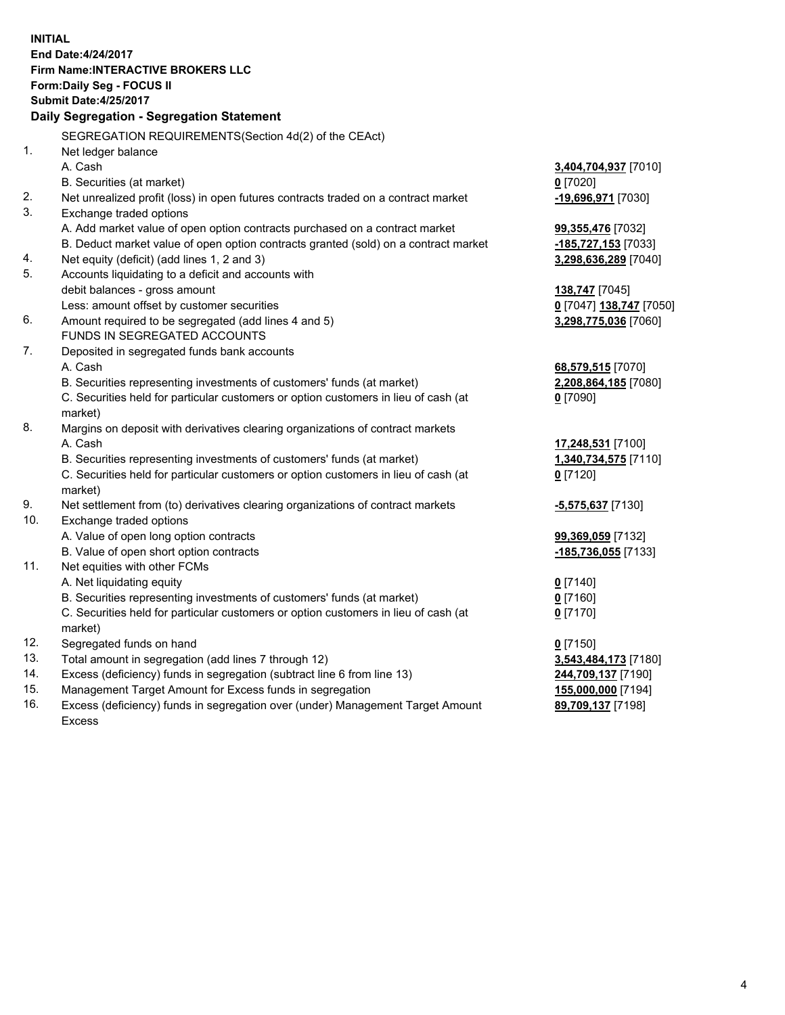**INITIAL End Date:4/24/2017 Firm Name:INTERACTIVE BROKERS LLC Form:Daily Seg - FOCUS II Submit Date:4/25/2017 Daily Segregation - Segregation Statement** SEGREGATION REQUIREMENTS(Section 4d(2) of the CEAct) 1. Net ledger balance A. Cash **3,404,704,937** [7010] B. Securities (at market) **0** [7020] 2. Net unrealized profit (loss) in open futures contracts traded on a contract market **-19,696,971** [7030] 3. Exchange traded options A. Add market value of open option contracts purchased on a contract market **99,355,476** [7032] B. Deduct market value of open option contracts granted (sold) on a contract market **-185,727,153** [7033] 4. Net equity (deficit) (add lines 1, 2 and 3) **3,298,636,289** [7040] 5. Accounts liquidating to a deficit and accounts with debit balances - gross amount **138,747** [7045] Less: amount offset by customer securities **0** [7047] **138,747** [7050] 6. Amount required to be segregated (add lines 4 and 5) **3,298,775,036** [7060] FUNDS IN SEGREGATED ACCOUNTS 7. Deposited in segregated funds bank accounts A. Cash **68,579,515** [7070] B. Securities representing investments of customers' funds (at market) **2,208,864,185** [7080] C. Securities held for particular customers or option customers in lieu of cash (at market) **0** [7090] 8. Margins on deposit with derivatives clearing organizations of contract markets A. Cash **17,248,531** [7100] B. Securities representing investments of customers' funds (at market) **1,340,734,575** [7110] C. Securities held for particular customers or option customers in lieu of cash (at market) **0** [7120] 9. Net settlement from (to) derivatives clearing organizations of contract markets **-5,575,637** [7130] 10. Exchange traded options A. Value of open long option contracts **99,369,059** [7132] B. Value of open short option contracts **-185,736,055** [7133] 11. Net equities with other FCMs A. Net liquidating equity **0** [7140] B. Securities representing investments of customers' funds (at market) **0** [7160] C. Securities held for particular customers or option customers in lieu of cash (at market) **0** [7170] 12. Segregated funds on hand **0** [7150] 13. Total amount in segregation (add lines 7 through 12) **3,543,484,173** [7180] 14. Excess (deficiency) funds in segregation (subtract line 6 from line 13) **244,709,137** [7190] 15. Management Target Amount for Excess funds in segregation **155,000,000** [7194]

16. Excess (deficiency) funds in segregation over (under) Management Target Amount Excess

**89,709,137** [7198]